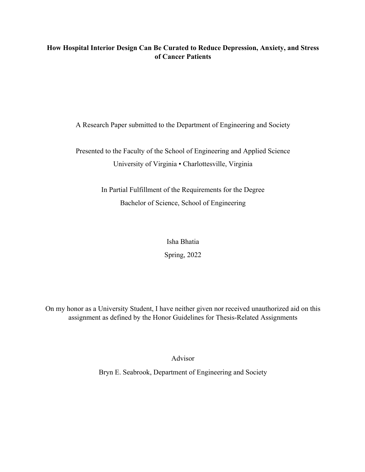# **How Hospital Interior Design Can Be Curated to Reduce Depression, Anxiety, and Stress of Cancer Patients**

A Research Paper submitted to the Department of Engineering and Society

Presented to the Faculty of the School of Engineering and Applied Science University of Virginia • Charlottesville, Virginia

> In Partial Fulfillment of the Requirements for the Degree Bachelor of Science, School of Engineering

> > Isha Bhatia Spring, 2022

On my honor as a University Student, I have neither given nor received unauthorized aid on this assignment as defined by the Honor Guidelines for Thesis-Related Assignments

Advisor

Bryn E. Seabrook, Department of Engineering and Society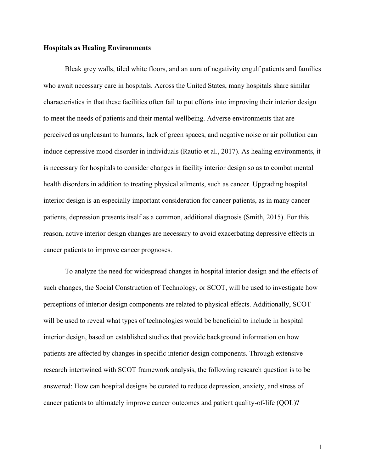### **Hospitals as Healing Environments**

Bleak grey walls, tiled white floors, and an aura of negativity engulf patients and families who await necessary care in hospitals. Across the United States, many hospitals share similar characteristics in that these facilities often fail to put efforts into improving their interior design to meet the needs of patients and their mental wellbeing. Adverse environments that are perceived as unpleasant to humans, lack of green spaces, and negative noise or air pollution can induce depressive mood disorder in individuals (Rautio et al., 2017). As healing environments, it is necessary for hospitals to consider changes in facility interior design so as to combat mental health disorders in addition to treating physical ailments, such as cancer. Upgrading hospital interior design is an especially important consideration for cancer patients, as in many cancer patients, depression presents itself as a common, additional diagnosis (Smith, 2015). For this reason, active interior design changes are necessary to avoid exacerbating depressive effects in cancer patients to improve cancer prognoses.

To analyze the need for widespread changes in hospital interior design and the effects of such changes, the Social Construction of Technology, or SCOT, will be used to investigate how perceptions of interior design components are related to physical effects. Additionally, SCOT will be used to reveal what types of technologies would be beneficial to include in hospital interior design, based on established studies that provide background information on how patients are affected by changes in specific interior design components. Through extensive research intertwined with SCOT framework analysis, the following research question is to be answered: How can hospital designs be curated to reduce depression, anxiety, and stress of cancer patients to ultimately improve cancer outcomes and patient quality-of-life (QOL)?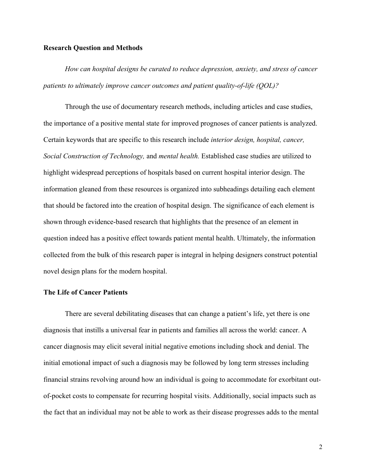### **Research Question and Methods**

*How can hospital designs be curated to reduce depression, anxiety, and stress of cancer patients to ultimately improve cancer outcomes and patient quality-of-life (QOL)?*

Through the use of documentary research methods, including articles and case studies, the importance of a positive mental state for improved prognoses of cancer patients is analyzed. Certain keywords that are specific to this research include *interior design, hospital, cancer, Social Construction of Technology,* and *mental health.* Established case studies are utilized to highlight widespread perceptions of hospitals based on current hospital interior design. The information gleaned from these resources is organized into subheadings detailing each element that should be factored into the creation of hospital design. The significance of each element is shown through evidence-based research that highlights that the presence of an element in question indeed has a positive effect towards patient mental health. Ultimately, the information collected from the bulk of this research paper is integral in helping designers construct potential novel design plans for the modern hospital.

# **The Life of Cancer Patients**

There are several debilitating diseases that can change a patient's life, yet there is one diagnosis that instills a universal fear in patients and families all across the world: cancer. A cancer diagnosis may elicit several initial negative emotions including shock and denial. The initial emotional impact of such a diagnosis may be followed by long term stresses including financial strains revolving around how an individual is going to accommodate for exorbitant outof-pocket costs to compensate for recurring hospital visits. Additionally, social impacts such as the fact that an individual may not be able to work as their disease progresses adds to the mental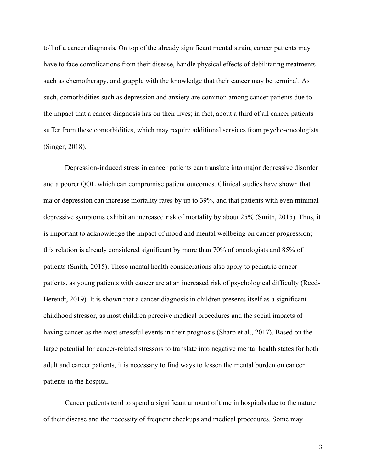toll of a cancer diagnosis. On top of the already significant mental strain, cancer patients may have to face complications from their disease, handle physical effects of debilitating treatments such as chemotherapy, and grapple with the knowledge that their cancer may be terminal. As such, comorbidities such as depression and anxiety are common among cancer patients due to the impact that a cancer diagnosis has on their lives; in fact, about a third of all cancer patients suffer from these comorbidities, which may require additional services from psycho-oncologists (Singer, 2018).

Depression-induced stress in cancer patients can translate into major depressive disorder and a poorer QOL which can compromise patient outcomes. Clinical studies have shown that major depression can increase mortality rates by up to 39%, and that patients with even minimal depressive symptoms exhibit an increased risk of mortality by about 25% (Smith, 2015). Thus, it is important to acknowledge the impact of mood and mental wellbeing on cancer progression; this relation is already considered significant by more than 70% of oncologists and 85% of patients (Smith, 2015). These mental health considerations also apply to pediatric cancer patients, as young patients with cancer are at an increased risk of psychological difficulty (Reed-Berendt, 2019). It is shown that a cancer diagnosis in children presents itself as a significant childhood stressor, as most children perceive medical procedures and the social impacts of having cancer as the most stressful events in their prognosis (Sharp et al., 2017). Based on the large potential for cancer-related stressors to translate into negative mental health states for both adult and cancer patients, it is necessary to find ways to lessen the mental burden on cancer patients in the hospital.

Cancer patients tend to spend a significant amount of time in hospitals due to the nature of their disease and the necessity of frequent checkups and medical procedures. Some may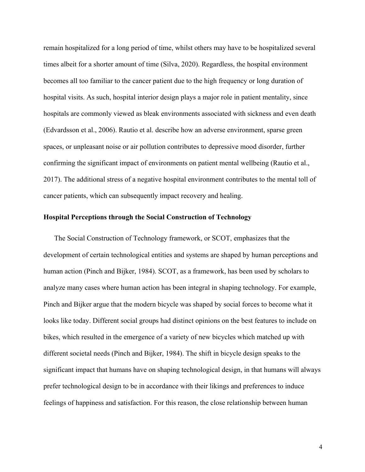remain hospitalized for a long period of time, whilst others may have to be hospitalized several times albeit for a shorter amount of time (Silva, 2020). Regardless, the hospital environment becomes all too familiar to the cancer patient due to the high frequency or long duration of hospital visits. As such, hospital interior design plays a major role in patient mentality, since hospitals are commonly viewed as bleak environments associated with sickness and even death (Edvardsson et al., 2006). Rautio et al. describe how an adverse environment, sparse green spaces, or unpleasant noise or air pollution contributes to depressive mood disorder, further confirming the significant impact of environments on patient mental wellbeing (Rautio et al., 2017). The additional stress of a negative hospital environment contributes to the mental toll of cancer patients, which can subsequently impact recovery and healing.

### **Hospital Perceptions through the Social Construction of Technology**

The Social Construction of Technology framework, or SCOT, emphasizes that the development of certain technological entities and systems are shaped by human perceptions and human action (Pinch and Bijker, 1984). SCOT, as a framework, has been used by scholars to analyze many cases where human action has been integral in shaping technology. For example, Pinch and Bijker argue that the modern bicycle was shaped by social forces to become what it looks like today. Different social groups had distinct opinions on the best features to include on bikes, which resulted in the emergence of a variety of new bicycles which matched up with different societal needs (Pinch and Bijker, 1984). The shift in bicycle design speaks to the significant impact that humans have on shaping technological design, in that humans will always prefer technological design to be in accordance with their likings and preferences to induce feelings of happiness and satisfaction. For this reason, the close relationship between human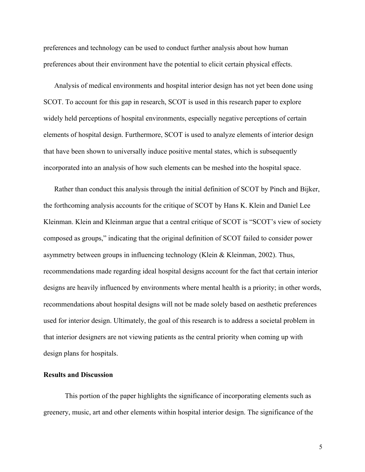preferences and technology can be used to conduct further analysis about how human preferences about their environment have the potential to elicit certain physical effects.

Analysis of medical environments and hospital interior design has not yet been done using SCOT. To account for this gap in research, SCOT is used in this research paper to explore widely held perceptions of hospital environments, especially negative perceptions of certain elements of hospital design. Furthermore, SCOT is used to analyze elements of interior design that have been shown to universally induce positive mental states, which is subsequently incorporated into an analysis of how such elements can be meshed into the hospital space.

Rather than conduct this analysis through the initial definition of SCOT by Pinch and Bijker, the forthcoming analysis accounts for the critique of SCOT by Hans K. Klein and Daniel Lee Kleinman. Klein and Kleinman argue that a central critique of SCOT is "SCOT's view of society composed as groups," indicating that the original definition of SCOT failed to consider power asymmetry between groups in influencing technology (Klein & Kleinman, 2002). Thus, recommendations made regarding ideal hospital designs account for the fact that certain interior designs are heavily influenced by environments where mental health is a priority; in other words, recommendations about hospital designs will not be made solely based on aesthetic preferences used for interior design. Ultimately, the goal of this research is to address a societal problem in that interior designers are not viewing patients as the central priority when coming up with design plans for hospitals.

### **Results and Discussion**

This portion of the paper highlights the significance of incorporating elements such as greenery, music, art and other elements within hospital interior design. The significance of the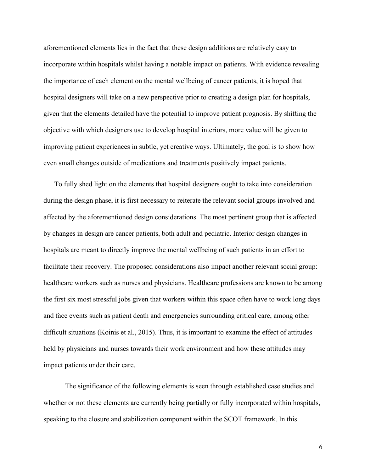aforementioned elements lies in the fact that these design additions are relatively easy to incorporate within hospitals whilst having a notable impact on patients. With evidence revealing the importance of each element on the mental wellbeing of cancer patients, it is hoped that hospital designers will take on a new perspective prior to creating a design plan for hospitals, given that the elements detailed have the potential to improve patient prognosis. By shifting the objective with which designers use to develop hospital interiors, more value will be given to improving patient experiences in subtle, yet creative ways. Ultimately, the goal is to show how even small changes outside of medications and treatments positively impact patients.

To fully shed light on the elements that hospital designers ought to take into consideration during the design phase, it is first necessary to reiterate the relevant social groups involved and affected by the aforementioned design considerations. The most pertinent group that is affected by changes in design are cancer patients, both adult and pediatric. Interior design changes in hospitals are meant to directly improve the mental wellbeing of such patients in an effort to facilitate their recovery. The proposed considerations also impact another relevant social group: healthcare workers such as nurses and physicians. Healthcare professions are known to be among the first six most stressful jobs given that workers within this space often have to work long days and face events such as patient death and emergencies surrounding critical care, among other difficult situations (Koinis et al., 2015). Thus, it is important to examine the effect of attitudes held by physicians and nurses towards their work environment and how these attitudes may impact patients under their care.

The significance of the following elements is seen through established case studies and whether or not these elements are currently being partially or fully incorporated within hospitals, speaking to the closure and stabilization component within the SCOT framework. In this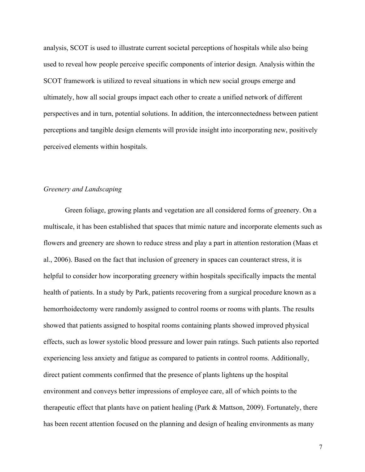analysis, SCOT is used to illustrate current societal perceptions of hospitals while also being used to reveal how people perceive specific components of interior design. Analysis within the SCOT framework is utilized to reveal situations in which new social groups emerge and ultimately, how all social groups impact each other to create a unified network of different perspectives and in turn, potential solutions. In addition, the interconnectedness between patient perceptions and tangible design elements will provide insight into incorporating new, positively perceived elements within hospitals.

#### *Greenery and Landscaping*

Green foliage, growing plants and vegetation are all considered forms of greenery. On a multiscale, it has been established that spaces that mimic nature and incorporate elements such as flowers and greenery are shown to reduce stress and play a part in attention restoration (Maas et al., 2006). Based on the fact that inclusion of greenery in spaces can counteract stress, it is helpful to consider how incorporating greenery within hospitals specifically impacts the mental health of patients. In a study by Park, patients recovering from a surgical procedure known as a hemorrhoidectomy were randomly assigned to control rooms or rooms with plants. The results showed that patients assigned to hospital rooms containing plants showed improved physical effects, such as lower systolic blood pressure and lower pain ratings. Such patients also reported experiencing less anxiety and fatigue as compared to patients in control rooms. Additionally, direct patient comments confirmed that the presence of plants lightens up the hospital environment and conveys better impressions of employee care, all of which points to the therapeutic effect that plants have on patient healing (Park & Mattson, 2009). Fortunately, there has been recent attention focused on the planning and design of healing environments as many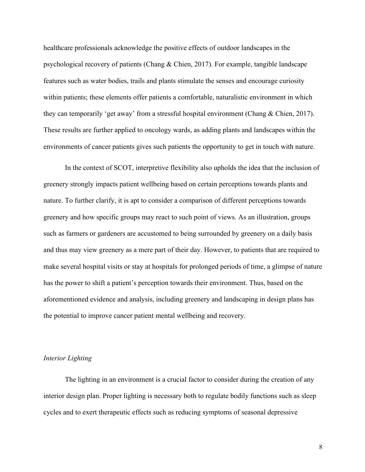healthcare professionals acknowledge the positive effects of outdoor landscapes in the psychological recovery of patients (Chang & Chien, 2017). For example, tangible landscape features such as water bodies, trails and plants stimulate the senses and encourage curiosity within patients; these elements offer patients a comfortable, naturalistic environment in which they can temporarily 'get away' from a stressful hospital environment (Chang & Chien, 2017). These results are further applied to oncology wards, as adding plants and landscapes within the environments of cancer patients gives such patients the opportunity to get in touch with nature.

In the context of SCOT, interpretive flexibility also upholds the idea that the inclusion of greenery strongly impacts patient wellbeing based on certain perceptions towards plants and nature. To further clarify, it is apt to consider a comparison of different perceptions towards greenery and how specific groups may react to such point of views. As an illustration, groups such as farmers or gardeners are accustomed to being surrounded by greenery on a daily basis and thus may view greenery as a mere part of their day. However, to patients that are required to make several hospital visits or stay at hospitals for prolonged periods of time, a glimpse of nature has the power to shift a patient's perception towards their environment. Thus, based on the aforementioned evidence and analysis, including greenery and landscaping in design plans has the potential to improve cancer patient mental wellbeing and recovery.

### *Interior Lighting*

The lighting in an environment is a crucial factor to consider during the creation of any interior design plan. Proper lighting is necessary both to regulate bodily functions such as sleep cycles and to exert therapeutic effects such as reducing symptoms of seasonal depressive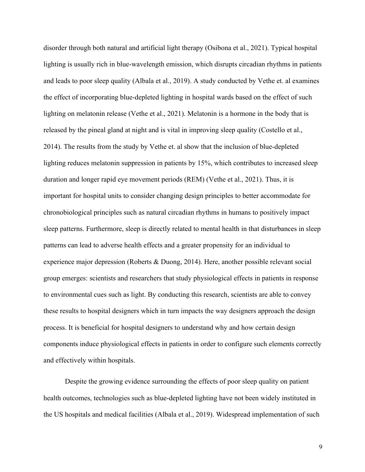disorder through both natural and artificial light therapy (Osibona et al., 2021). Typical hospital lighting is usually rich in blue-wavelength emission, which disrupts circadian rhythms in patients and leads to poor sleep quality (Albala et al., 2019). A study conducted by Vethe et. al examines the effect of incorporating blue-depleted lighting in hospital wards based on the effect of such lighting on melatonin release (Vethe et al., 2021). Melatonin is a hormone in the body that is released by the pineal gland at night and is vital in improving sleep quality (Costello et al., 2014). The results from the study by Vethe et. al show that the inclusion of blue-depleted lighting reduces melatonin suppression in patients by 15%, which contributes to increased sleep duration and longer rapid eye movement periods (REM) (Vethe et al., 2021). Thus, it is important for hospital units to consider changing design principles to better accommodate for chronobiological principles such as natural circadian rhythms in humans to positively impact sleep patterns. Furthermore, sleep is directly related to mental health in that disturbances in sleep patterns can lead to adverse health effects and a greater propensity for an individual to experience major depression (Roberts & Duong, 2014). Here, another possible relevant social group emerges: scientists and researchers that study physiological effects in patients in response to environmental cues such as light. By conducting this research, scientists are able to convey these results to hospital designers which in turn impacts the way designers approach the design process. It is beneficial for hospital designers to understand why and how certain design components induce physiological effects in patients in order to configure such elements correctly and effectively within hospitals.

Despite the growing evidence surrounding the effects of poor sleep quality on patient health outcomes, technologies such as blue-depleted lighting have not been widely instituted in the US hospitals and medical facilities (Albala et al., 2019). Widespread implementation of such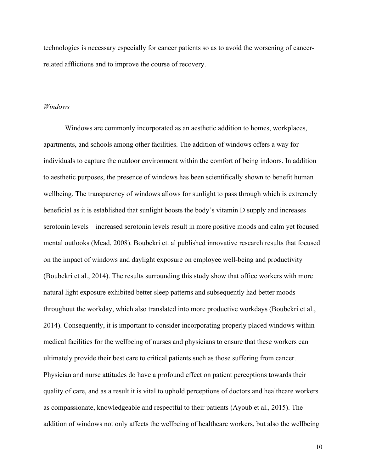technologies is necessary especially for cancer patients so as to avoid the worsening of cancerrelated afflictions and to improve the course of recovery.

### *Windows*

Windows are commonly incorporated as an aesthetic addition to homes, workplaces, apartments, and schools among other facilities. The addition of windows offers a way for individuals to capture the outdoor environment within the comfort of being indoors. In addition to aesthetic purposes, the presence of windows has been scientifically shown to benefit human wellbeing. The transparency of windows allows for sunlight to pass through which is extremely beneficial as it is established that sunlight boosts the body's vitamin D supply and increases serotonin levels – increased serotonin levels result in more positive moods and calm yet focused mental outlooks (Mead, 2008). Boubekri et. al published innovative research results that focused on the impact of windows and daylight exposure on employee well-being and productivity (Boubekri et al., 2014). The results surrounding this study show that office workers with more natural light exposure exhibited better sleep patterns and subsequently had better moods throughout the workday, which also translated into more productive workdays (Boubekri et al., 2014). Consequently, it is important to consider incorporating properly placed windows within medical facilities for the wellbeing of nurses and physicians to ensure that these workers can ultimately provide their best care to critical patients such as those suffering from cancer. Physician and nurse attitudes do have a profound effect on patient perceptions towards their quality of care, and as a result it is vital to uphold perceptions of doctors and healthcare workers as compassionate, knowledgeable and respectful to their patients (Ayoub et al., 2015). The addition of windows not only affects the wellbeing of healthcare workers, but also the wellbeing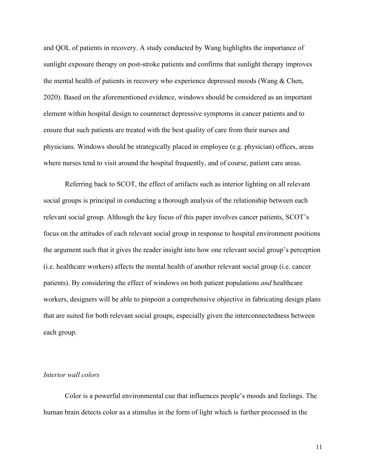and QOL of patients in recovery. A study conducted by Wang highlights the importance of sunlight exposure therapy on post-stroke patients and confirms that sunlight therapy improves the mental health of patients in recovery who experience depressed moods (Wang & Chen, 2020). Based on the aforementioned evidence, windows should be considered as an important element within hospital design to counteract depressive symptoms in cancer patients and to ensure that such patients are treated with the best quality of care from their nurses and physicians. Windows should be strategically placed in employee (e.g. physician) offices, areas where nurses tend to visit around the hospital frequently, and of course, patient care areas.

Referring back to SCOT, the effect of artifacts such as interior lighting on all relevant social groups is principal in conducting a thorough analysis of the relationship between each relevant social group. Although the key focus of this paper involves cancer patients, SCOT's focus on the attitudes of each relevant social group in response to hospital environment positions the argument such that it gives the reader insight into how one relevant social group's perception (i.e. healthcare workers) affects the mental health of another relevant social group (i.e. cancer patients). By considering the effect of windows on both patient populations *and* healthcare workers, designers will be able to pinpoint a comprehensive objective in fabricating design plans that are suited for both relevant social groups, especially given the interconnectedness between each group.

#### *Interior wall colors*

Color is a powerful environmental cue that influences people's moods and feelings. The human brain detects color as a stimulus in the form of light which is further processed in the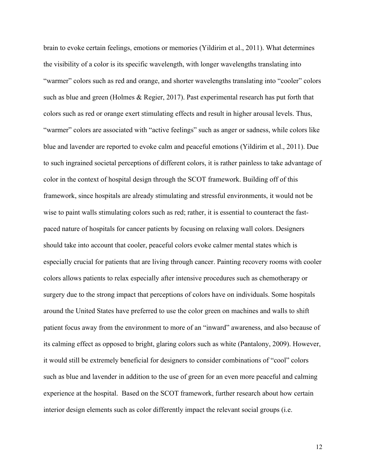brain to evoke certain feelings, emotions or memories (Yildirim et al., 2011). What determines the visibility of a color is its specific wavelength, with longer wavelengths translating into "warmer" colors such as red and orange, and shorter wavelengths translating into "cooler" colors such as blue and green (Holmes & Regier, 2017). Past experimental research has put forth that colors such as red or orange exert stimulating effects and result in higher arousal levels. Thus, "warmer" colors are associated with "active feelings" such as anger or sadness, while colors like blue and lavender are reported to evoke calm and peaceful emotions (Yildirim et al., 2011). Due to such ingrained societal perceptions of different colors, it is rather painless to take advantage of color in the context of hospital design through the SCOT framework. Building off of this framework, since hospitals are already stimulating and stressful environments, it would not be wise to paint walls stimulating colors such as red; rather, it is essential to counteract the fastpaced nature of hospitals for cancer patients by focusing on relaxing wall colors. Designers should take into account that cooler, peaceful colors evoke calmer mental states which is especially crucial for patients that are living through cancer. Painting recovery rooms with cooler colors allows patients to relax especially after intensive procedures such as chemotherapy or surgery due to the strong impact that perceptions of colors have on individuals. Some hospitals around the United States have preferred to use the color green on machines and walls to shift patient focus away from the environment to more of an "inward" awareness, and also because of its calming effect as opposed to bright, glaring colors such as white (Pantalony, 2009). However, it would still be extremely beneficial for designers to consider combinations of "cool" colors such as blue and lavender in addition to the use of green for an even more peaceful and calming experience at the hospital. Based on the SCOT framework, further research about how certain interior design elements such as color differently impact the relevant social groups (i.e.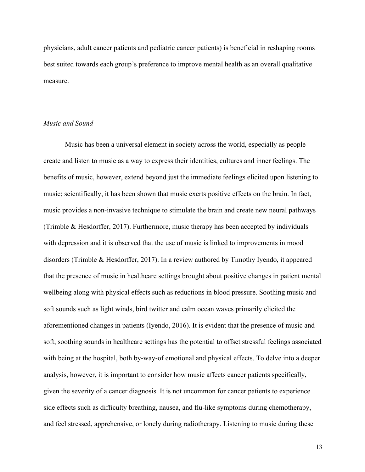physicians, adult cancer patients and pediatric cancer patients) is beneficial in reshaping rooms best suited towards each group's preference to improve mental health as an overall qualitative measure.

#### *Music and Sound*

Music has been a universal element in society across the world, especially as people create and listen to music as a way to express their identities, cultures and inner feelings. The benefits of music, however, extend beyond just the immediate feelings elicited upon listening to music; scientifically, it has been shown that music exerts positive effects on the brain. In fact, music provides a non-invasive technique to stimulate the brain and create new neural pathways (Trimble & Hesdorffer, 2017). Furthermore, music therapy has been accepted by individuals with depression and it is observed that the use of music is linked to improvements in mood disorders (Trimble & Hesdorffer, 2017). In a review authored by Timothy Iyendo, it appeared that the presence of music in healthcare settings brought about positive changes in patient mental wellbeing along with physical effects such as reductions in blood pressure. Soothing music and soft sounds such as light winds, bird twitter and calm ocean waves primarily elicited the aforementioned changes in patients (Iyendo, 2016). It is evident that the presence of music and soft, soothing sounds in healthcare settings has the potential to offset stressful feelings associated with being at the hospital, both by-way-of emotional and physical effects. To delve into a deeper analysis, however, it is important to consider how music affects cancer patients specifically, given the severity of a cancer diagnosis. It is not uncommon for cancer patients to experience side effects such as difficulty breathing, nausea, and flu-like symptoms during chemotherapy, and feel stressed, apprehensive, or lonely during radiotherapy. Listening to music during these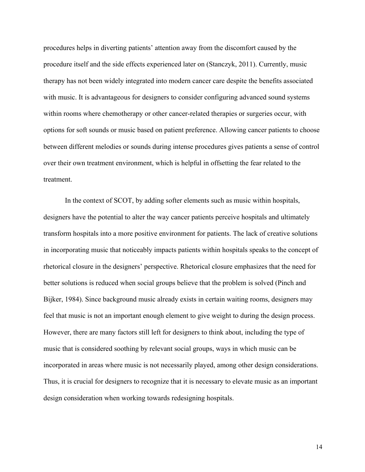procedures helps in diverting patients' attention away from the discomfort caused by the procedure itself and the side effects experienced later on (Stanczyk, 2011). Currently, music therapy has not been widely integrated into modern cancer care despite the benefits associated with music. It is advantageous for designers to consider configuring advanced sound systems within rooms where chemotherapy or other cancer-related therapies or surgeries occur, with options for soft sounds or music based on patient preference. Allowing cancer patients to choose between different melodies or sounds during intense procedures gives patients a sense of control over their own treatment environment, which is helpful in offsetting the fear related to the treatment.

In the context of SCOT, by adding softer elements such as music within hospitals, designers have the potential to alter the way cancer patients perceive hospitals and ultimately transform hospitals into a more positive environment for patients. The lack of creative solutions in incorporating music that noticeably impacts patients within hospitals speaks to the concept of rhetorical closure in the designers' perspective. Rhetorical closure emphasizes that the need for better solutions is reduced when social groups believe that the problem is solved (Pinch and Bijker, 1984). Since background music already exists in certain waiting rooms, designers may feel that music is not an important enough element to give weight to during the design process. However, there are many factors still left for designers to think about, including the type of music that is considered soothing by relevant social groups, ways in which music can be incorporated in areas where music is not necessarily played, among other design considerations. Thus, it is crucial for designers to recognize that it is necessary to elevate music as an important design consideration when working towards redesigning hospitals.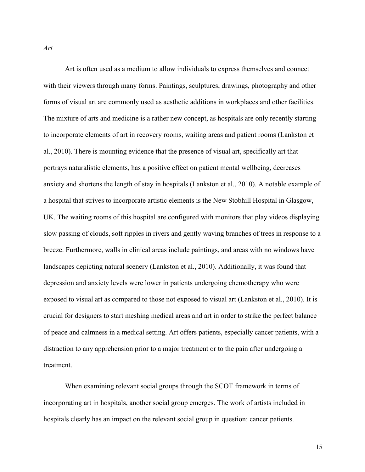Art is often used as a medium to allow individuals to express themselves and connect with their viewers through many forms. Paintings, sculptures, drawings, photography and other forms of visual art are commonly used as aesthetic additions in workplaces and other facilities. The mixture of arts and medicine is a rather new concept, as hospitals are only recently starting to incorporate elements of art in recovery rooms, waiting areas and patient rooms (Lankston et al., 2010). There is mounting evidence that the presence of visual art, specifically art that portrays naturalistic elements, has a positive effect on patient mental wellbeing, decreases anxiety and shortens the length of stay in hospitals (Lankston et al., 2010). A notable example of a hospital that strives to incorporate artistic elements is the New Stobhill Hospital in Glasgow, UK. The waiting rooms of this hospital are configured with monitors that play videos displaying slow passing of clouds, soft ripples in rivers and gently waving branches of trees in response to a breeze. Furthermore, walls in clinical areas include paintings, and areas with no windows have landscapes depicting natural scenery (Lankston et al., 2010). Additionally, it was found that depression and anxiety levels were lower in patients undergoing chemotherapy who were exposed to visual art as compared to those not exposed to visual art (Lankston et al., 2010). It is crucial for designers to start meshing medical areas and art in order to strike the perfect balance of peace and calmness in a medical setting. Art offers patients, especially cancer patients, with a distraction to any apprehension prior to a major treatment or to the pain after undergoing a treatment.

When examining relevant social groups through the SCOT framework in terms of incorporating art in hospitals, another social group emerges. The work of artists included in hospitals clearly has an impact on the relevant social group in question: cancer patients.

*Art*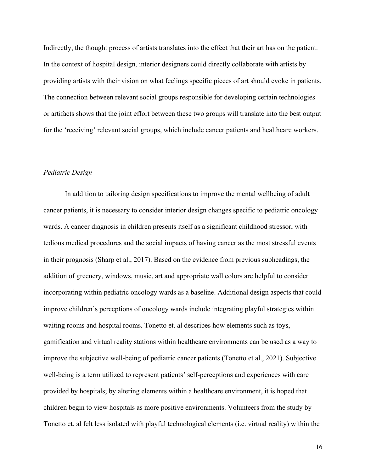Indirectly, the thought process of artists translates into the effect that their art has on the patient. In the context of hospital design, interior designers could directly collaborate with artists by providing artists with their vision on what feelings specific pieces of art should evoke in patients. The connection between relevant social groups responsible for developing certain technologies or artifacts shows that the joint effort between these two groups will translate into the best output for the 'receiving' relevant social groups, which include cancer patients and healthcare workers.

#### *Pediatric Design*

In addition to tailoring design specifications to improve the mental wellbeing of adult cancer patients, it is necessary to consider interior design changes specific to pediatric oncology wards. A cancer diagnosis in children presents itself as a significant childhood stressor, with tedious medical procedures and the social impacts of having cancer as the most stressful events in their prognosis (Sharp et al., 2017). Based on the evidence from previous subheadings, the addition of greenery, windows, music, art and appropriate wall colors are helpful to consider incorporating within pediatric oncology wards as a baseline. Additional design aspects that could improve children's perceptions of oncology wards include integrating playful strategies within waiting rooms and hospital rooms. Tonetto et. al describes how elements such as toys, gamification and virtual reality stations within healthcare environments can be used as a way to improve the subjective well-being of pediatric cancer patients (Tonetto et al., 2021). Subjective well-being is a term utilized to represent patients' self-perceptions and experiences with care provided by hospitals; by altering elements within a healthcare environment, it is hoped that children begin to view hospitals as more positive environments. Volunteers from the study by Tonetto et. al felt less isolated with playful technological elements (i.e. virtual reality) within the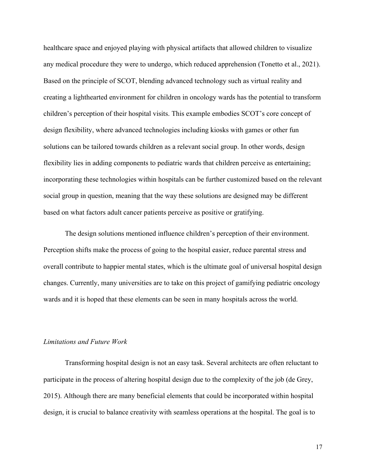healthcare space and enjoyed playing with physical artifacts that allowed children to visualize any medical procedure they were to undergo, which reduced apprehension (Tonetto et al., 2021). Based on the principle of SCOT, blending advanced technology such as virtual reality and creating a lighthearted environment for children in oncology wards has the potential to transform children's perception of their hospital visits. This example embodies SCOT's core concept of design flexibility, where advanced technologies including kiosks with games or other fun solutions can be tailored towards children as a relevant social group. In other words, design flexibility lies in adding components to pediatric wards that children perceive as entertaining; incorporating these technologies within hospitals can be further customized based on the relevant social group in question, meaning that the way these solutions are designed may be different based on what factors adult cancer patients perceive as positive or gratifying.

The design solutions mentioned influence children's perception of their environment. Perception shifts make the process of going to the hospital easier, reduce parental stress and overall contribute to happier mental states, which is the ultimate goal of universal hospital design changes. Currently, many universities are to take on this project of gamifying pediatric oncology wards and it is hoped that these elements can be seen in many hospitals across the world.

# *Limitations and Future Work*

Transforming hospital design is not an easy task. Several architects are often reluctant to participate in the process of altering hospital design due to the complexity of the job (de Grey, 2015). Although there are many beneficial elements that could be incorporated within hospital design, it is crucial to balance creativity with seamless operations at the hospital. The goal is to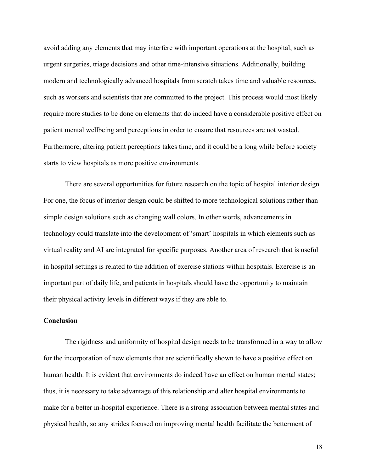avoid adding any elements that may interfere with important operations at the hospital, such as urgent surgeries, triage decisions and other time-intensive situations. Additionally, building modern and technologically advanced hospitals from scratch takes time and valuable resources, such as workers and scientists that are committed to the project. This process would most likely require more studies to be done on elements that do indeed have a considerable positive effect on patient mental wellbeing and perceptions in order to ensure that resources are not wasted. Furthermore, altering patient perceptions takes time, and it could be a long while before society starts to view hospitals as more positive environments.

There are several opportunities for future research on the topic of hospital interior design. For one, the focus of interior design could be shifted to more technological solutions rather than simple design solutions such as changing wall colors. In other words, advancements in technology could translate into the development of 'smart' hospitals in which elements such as virtual reality and AI are integrated for specific purposes. Another area of research that is useful in hospital settings is related to the addition of exercise stations within hospitals. Exercise is an important part of daily life, and patients in hospitals should have the opportunity to maintain their physical activity levels in different ways if they are able to.

# **Conclusion**

The rigidness and uniformity of hospital design needs to be transformed in a way to allow for the incorporation of new elements that are scientifically shown to have a positive effect on human health. It is evident that environments do indeed have an effect on human mental states; thus, it is necessary to take advantage of this relationship and alter hospital environments to make for a better in-hospital experience. There is a strong association between mental states and physical health, so any strides focused on improving mental health facilitate the betterment of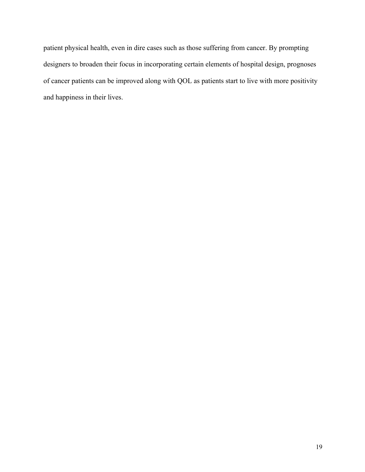patient physical health, even in dire cases such as those suffering from cancer. By prompting designers to broaden their focus in incorporating certain elements of hospital design, prognoses of cancer patients can be improved along with QOL as patients start to live with more positivity and happiness in their lives.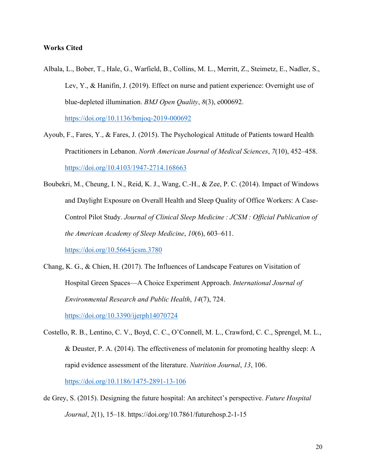# **Works Cited**

- Albala, L., Bober, T., Hale, G., Warfield, B., Collins, M. L., Merritt, Z., Steimetz, E., Nadler, S., Lev, Y., & Hanifin, J. (2019). Effect on nurse and patient experience: Overnight use of blue-depleted illumination. *BMJ Open Quality*, *8*(3), e000692. https://doi.org/10.1136/bmjoq-2019-000692
- Ayoub, F., Fares, Y., & Fares, J. (2015). The Psychological Attitude of Patients toward Health Practitioners in Lebanon. *North American Journal of Medical Sciences*, *7*(10), 452–458. https://doi.org/10.4103/1947-2714.168663
- Boubekri, M., Cheung, I. N., Reid, K. J., Wang, C.-H., & Zee, P. C. (2014). Impact of Windows and Daylight Exposure on Overall Health and Sleep Quality of Office Workers: A Case-Control Pilot Study. *Journal of Clinical Sleep Medicine : JCSM : Official Publication of the American Academy of Sleep Medicine*, *10*(6), 603–611. https://doi.org/10.5664/jcsm.3780
- Chang, K. G., & Chien, H. (2017). The Influences of Landscape Features on Visitation of Hospital Green Spaces—A Choice Experiment Approach. *International Journal of Environmental Research and Public Health*, *14*(7), 724.

https://doi.org/10.3390/ijerph14070724

- Costello, R. B., Lentino, C. V., Boyd, C. C., O'Connell, M. L., Crawford, C. C., Sprengel, M. L., & Deuster, P. A. (2014). The effectiveness of melatonin for promoting healthy sleep: A rapid evidence assessment of the literature. *Nutrition Journal*, *13*, 106. https://doi.org/10.1186/1475-2891-13-106
- de Grey, S. (2015). Designing the future hospital: An architect's perspective. *Future Hospital Journal*, *2*(1), 15–18. https://doi.org/10.7861/futurehosp.2-1-15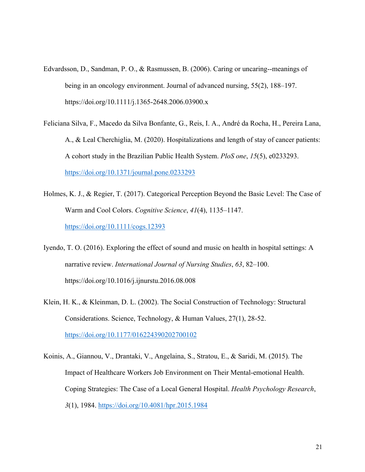- Edvardsson, D., Sandman, P. O., & Rasmussen, B. (2006). Caring or uncaring--meanings of being in an oncology environment. Journal of advanced nursing, 55(2), 188–197. https://doi.org/10.1111/j.1365-2648.2006.03900.x
- Feliciana Silva, F., Macedo da Silva Bonfante, G., Reis, I. A., André da Rocha, H., Pereira Lana, A., & Leal Cherchiglia, M. (2020). Hospitalizations and length of stay of cancer patients: A cohort study in the Brazilian Public Health System. *PloS one*, *15*(5), e0233293. https://doi.org/10.1371/journal.pone.0233293
- Holmes, K. J., & Regier, T. (2017). Categorical Perception Beyond the Basic Level: The Case of Warm and Cool Colors. *Cognitive Science*, *41*(4), 1135–1147. https://doi.org/10.1111/cogs.12393
- Iyendo, T. O. (2016). Exploring the effect of sound and music on health in hospital settings: A narrative review. *International Journal of Nursing Studies*, *63*, 82–100. https://doi.org/10.1016/j.ijnurstu.2016.08.008
- Klein, H. K., & Kleinman, D. L. (2002). The Social Construction of Technology: Structural Considerations. Science, Technology, & Human Values, 27(1), 28-52. https://doi.org/10.1177/016224390202700102
- Koinis, A., Giannou, V., Drantaki, V., Angelaina, S., Stratou, E., & Saridi, M. (2015). The Impact of Healthcare Workers Job Environment on Their Mental-emotional Health. Coping Strategies: The Case of a Local General Hospital. *Health Psychology Research*, *3*(1), 1984. https://doi.org/10.4081/hpr.2015.1984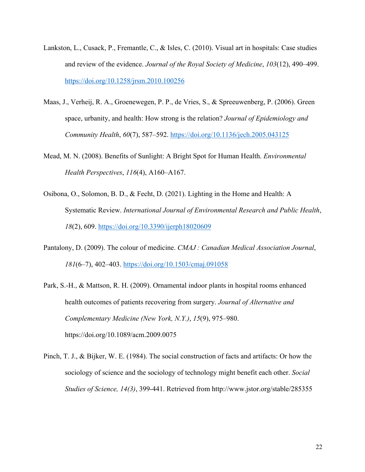- Lankston, L., Cusack, P., Fremantle, C., & Isles, C. (2010). Visual art in hospitals: Case studies and review of the evidence. *Journal of the Royal Society of Medicine*, *103*(12), 490–499. https://doi.org/10.1258/jrsm.2010.100256
- Maas, J., Verheij, R. A., Groenewegen, P. P., de Vries, S., & Spreeuwenberg, P. (2006). Green space, urbanity, and health: How strong is the relation? *Journal of Epidemiology and Community Health*, *60*(7), 587–592. https://doi.org/10.1136/jech.2005.043125
- Mead, M. N. (2008). Benefits of Sunlight: A Bright Spot for Human Health. *Environmental Health Perspectives*, *116*(4), A160–A167.
- Osibona, O., Solomon, B. D., & Fecht, D. (2021). Lighting in the Home and Health: A Systematic Review. *International Journal of Environmental Research and Public Health*, *18*(2), 609. https://doi.org/10.3390/ijerph18020609
- Pantalony, D. (2009). The colour of medicine. *CMAJ : Canadian Medical Association Journal*, *181*(6–7), 402–403. https://doi.org/10.1503/cmaj.091058
- Park, S.-H., & Mattson, R. H. (2009). Ornamental indoor plants in hospital rooms enhanced health outcomes of patients recovering from surgery. *Journal of Alternative and Complementary Medicine (New York, N.Y.)*, *15*(9), 975–980. https://doi.org/10.1089/acm.2009.0075
- Pinch, T. J., & Bijker, W. E. (1984). The social construction of facts and artifacts: Or how the sociology of science and the sociology of technology might benefit each other. *Social Studies of Science, 14(3)*, 399-441. Retrieved from http://www.jstor.org/stable/285355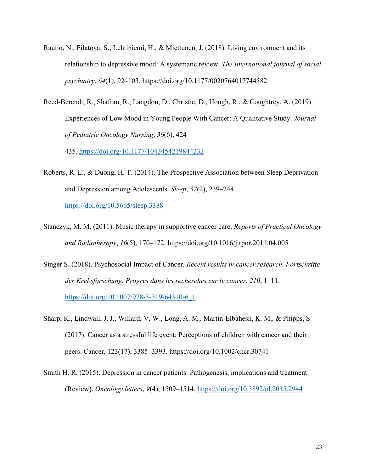- Rautio, N., Filatova, S., Lehtiniemi, H., & Miettunen, J. (2018). Living environment and its relationship to depressive mood: A systematic review. *The International journal of social psychiatry*, *64*(1), 92–103. https://doi.org/10.1177/0020764017744582
- Reed-Berendt, R., Shafran, R., Langdon, D., Christie, D., Hough, R., & Coughtrey, A. (2019). Experiences of Low Mood in Young People With Cancer: A Qualitative Study. *Journal of Pediatric Oncology Nursing*, *36*(6), 424–

435. https://doi.org/10.1177/1043454219844232

- Roberts, R. E., & Duong, H. T. (2014). The Prospective Association between Sleep Deprivation and Depression among Adolescents. *Sleep*, *37*(2), 239–244. https://doi.org/10.5665/sleep.3388
- Stanczyk, M. M. (2011). Music therapy in supportive cancer care. *Reports of Practical Oncology and Radiotherapy*, *16*(5), 170–172. https://doi.org/10.1016/j.rpor.2011.04.005
- Singer S. (2018). Psychosocial Impact of Cancer. *Recent results in cancer research. Fortschritte der Krebsforschung. Progres dans les recherches sur le cancer*, *210*, 1–11. https://doi.org/10.1007/978-3-319-64310-6\_1
- Sharp, K., Lindwall, J. J., Willard, V. W., Long, A. M., Martin-Elbahesh, K. M., & Phipps, S. (2017). Cancer as a stressful life event: Perceptions of children with cancer and their peers. Cancer, 123(17), 3385–3393. https://doi.org/10.1002/cncr.30741
- Smith H. R. (2015). Depression in cancer patients: Pathogenesis, implications and treatment (Review). *Oncology letters*, *9*(4), 1509–1514. https://doi.org/10.3892/ol.2015.2944